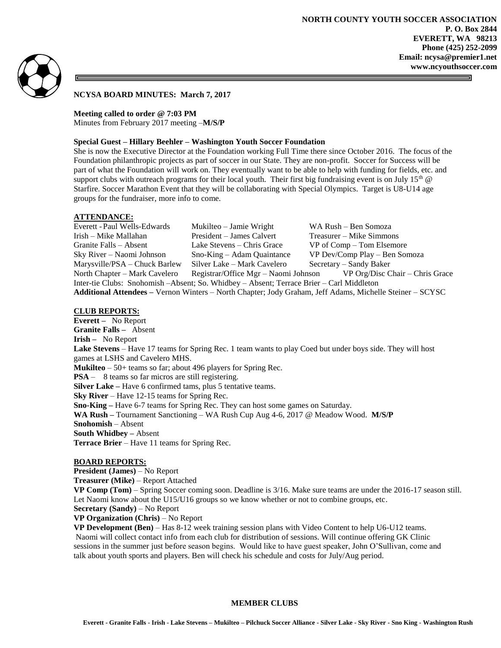

5

**NCYSA BOARD MINUTES: March 7, 2017**

### **Meeting called to order @ 7:03 PM**

Minutes from February 2017 meeting –**M/S/P**

### **Special Guest – Hillary Beehler – Washington Youth Soccer Foundation**

She is now the Executive Director at the Foundation working Full Time there since October 2016. The focus of the Foundation philanthropic projects as part of soccer in our State. They are non-profit. Soccer for Success will be part of what the Foundation will work on. They eventually want to be able to help with funding for fields, etc. and support clubs with outreach programs for their local youth. Their first big fundraising event is on July  $15<sup>th</sup>$  @ Starfire. Soccer Marathon Event that they will be collaborating with Special Olympics. Target is U8-U14 age groups for the fundraiser, more info to come.

### **ATTENDANCE:**

| Everett - Paul Wells-Edwards                                                                             | Mukilteo – Jamie Wright     | WA Rush - Ben Somoza                                                 |
|----------------------------------------------------------------------------------------------------------|-----------------------------|----------------------------------------------------------------------|
| Irish – Mike Mallahan                                                                                    | President – James Calvert   | Treasurer – Mike Simmons                                             |
| Granite Falls – Absent                                                                                   | Lake Stevens – Chris Grace  | VP of Comp – Tom Elsemore                                            |
| Sky River – Naomi Johnson                                                                                | $Sno-King - Adam\,$         | VP Dev/Comp Play - Ben Somoza                                        |
| Marysville/PSA – Chuck Barlew                                                                            | Silver Lake – Mark Cavelero | Secretary – Sandy Baker                                              |
| North Chapter – Mark Cavelero                                                                            |                             | Registrar/Office Mgr – Naomi Johnson VP Org/Disc Chair – Chris Grace |
| Inter-tie Clubs: Snohomish – Absent; So. Whidbey – Absent; Terrace Brier – Carl Middleton                |                             |                                                                      |
| Additional Attendees - Vernon Winters - North Chapter; Jody Graham, Jeff Adams, Michelle Steiner - SCYSC |                             |                                                                      |

### **CLUB REPORTS:**

**Everett –** No Report **Granite Falls –** Absent **Irish –** No Report **Lake Stevens** – Have 17 teams for Spring Rec. 1 team wants to play Coed but under boys side. They will host games at LSHS and Cavelero MHS. **Mukilteo** – 50+ teams so far; about 496 players for Spring Rec. **PSA** – 8 teams so far micros are still registering. **Silver Lake** – Have 6 confirmed tams, plus 5 tentative teams. **Sky River** – Have 12-15 teams for Spring Rec. **Sno-King –** Have 6-7 teams for Spring Rec. They can host some games on Saturday. **WA Rush –** Tournament Sanctioning – WA Rush Cup Aug 4-6, 2017 @ Meadow Wood. **M/S/P Snohomish** – Absent **South Whidbey –** Absent **Terrace Brier** – Have 11 teams for Spring Rec.

## **BOARD REPORTS:**

**President (James)** – No Report

**Treasurer (Mike)** – Report Attached

**VP Comp (Tom)** – Spring Soccer coming soon. Deadline is 3/16. Make sure teams are under the 2016-17 season still. Let Naomi know about the U15/U16 groups so we know whether or not to combine groups, etc.

**Secretary (Sandy)** – No Report

# **VP Organization (Chris)** – No Report

**VP Development (Ben)** – Has 8-12 week training session plans with Video Content to help U6-U12 teams. Naomi will collect contact info from each club for distribution of sessions. Will continue offering GK Clinic sessions in the summer just before season begins. Would like to have guest speaker, John O'Sullivan, come and talk about youth sports and players. Ben will check his schedule and costs for July/Aug period.

## **MEMBER CLUBS**